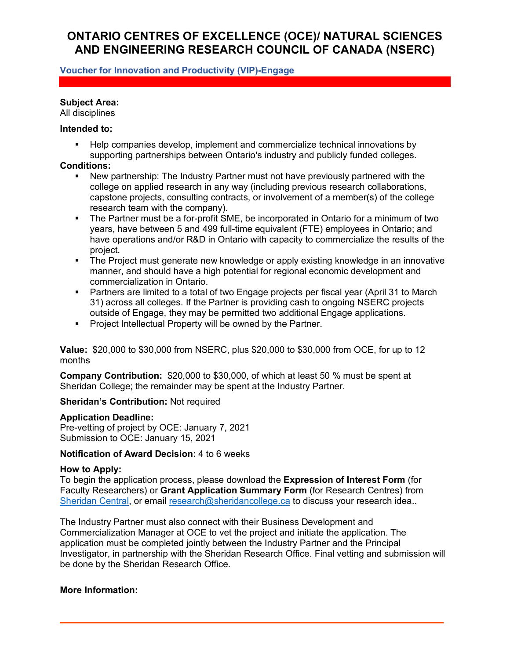# **ONTARIO CENTRES OF EXCELLENCE (OCE)/ NATURAL SCIENCES AND ENGINEERING RESEARCH COUNCIL OF CANADA (NSERC)**

## **Voucher for Innovation and Productivity (VIP)-Engage**

#### **Subject Area:**

All disciplines

#### **Intended to:**

 Help companies develop, implement and commercialize technical innovations by supporting partnerships between Ontario's industry and publicly funded colleges.

#### **Conditions:**

- New partnership: The Industry Partner must not have previously partnered with the college on applied research in any way (including previous research collaborations, capstone projects, consulting contracts, or involvement of a member(s) of the college research team with the company).
- The Partner must be a for-profit SME, be incorporated in Ontario for a minimum of two years, have between 5 and 499 full-time equivalent (FTE) employees in Ontario; and have operations and/or R&D in Ontario with capacity to commercialize the results of the project.
- The Project must generate new knowledge or apply existing knowledge in an innovative manner, and should have a high potential for regional economic development and commercialization in Ontario.
- Partners are limited to a total of two Engage projects per fiscal year (April 31 to March 31) across all colleges. If the Partner is providing cash to ongoing NSERC projects outside of Engage, they may be permitted two additional Engage applications.
- **Project Intellectual Property will be owned by the Partner.**

**Value:** \$20,000 to \$30,000 from NSERC, plus \$20,000 to \$30,000 from OCE, for up to 12 months

**Company Contribution:** \$20,000 to \$30,000, of which at least 50 % must be spent at Sheridan College; the remainder may be spent at the Industry Partner.

#### **Sheridan's Contribution:** Not required

#### **Application Deadline:**

Pre-vetting of project by OCE: January 7, 2021 Submission to OCE: January 15, 2021

## **Notification of Award Decision:** 4 to 6 weeks

#### **How to Apply:**

To begin the application process, please download the **Expression of Interest Form** (for Faculty Researchers) or **Grant Application Summary Form** (for Research Centres) from [Sheridan Central,](https://central.sheridancollege.ca/research) or email [research@sheridancollege.ca](mailto:research@sheridancollege.ca) to discuss your research idea..

The Industry Partner must also connect with their Business Development and Commercialization Manager at OCE to vet the project and initiate the application. The application must be completed jointly between the Industry Partner and the Principal Investigator, in partnership with the Sheridan Research Office. Final vetting and submission will be done by the Sheridan Research Office.

#### **More Information:**